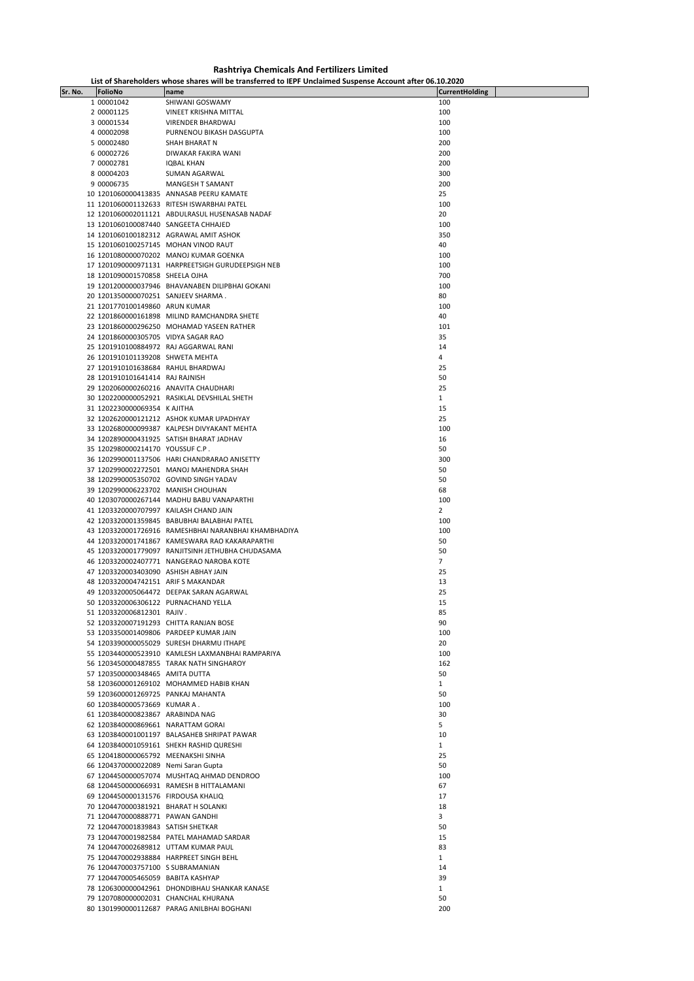**Rashtriya Chemicals And Fertilizers Limited**

| List of Shareholders whose shares will be transferred to IEPF Unclaimed Suspense Account after 06.10.2020 |  |
|-----------------------------------------------------------------------------------------------------------|--|
|-----------------------------------------------------------------------------------------------------------|--|

| Sr. No. | FolioNo                                                                     | List of Shareholders whose shares will be transferred to lePP Unclaimed Suspense Account after 06.10.2020<br>name | <b>CurrentHolding</b> |
|---------|-----------------------------------------------------------------------------|-------------------------------------------------------------------------------------------------------------------|-----------------------|
|         | 1 00001042                                                                  | SHIWANI GOSWAMY                                                                                                   | 100                   |
|         | 2 00001125                                                                  | VINEET KRISHNA MITTAL                                                                                             | 100                   |
|         | 3 00001534                                                                  | VIRENDER BHARDWAJ                                                                                                 | 100                   |
|         |                                                                             |                                                                                                                   | 100                   |
|         | 4 00002098<br>5 00002480                                                    | PURNENOU BIKASH DASGUPTA<br>SHAH BHARAT N                                                                         | 200                   |
|         | 6 00002726                                                                  | DIWAKAR FAKIRA WANI                                                                                               | 200                   |
|         | 7 00002781                                                                  | IQBAL KHAN                                                                                                        | 200                   |
|         | 8 00004203                                                                  | SUMAN AGARWAL                                                                                                     | 300                   |
|         | 9 00006735                                                                  | MANGESH T SAMANT                                                                                                  | 200                   |
|         |                                                                             | 10 1201060000413835 ANNASAB PEERU KAMATE                                                                          | 25                    |
|         |                                                                             | 11 1201060001132633 RITESH ISWARBHAI PATEL                                                                        | 100                   |
|         |                                                                             | 12 1201060002011121 ABDULRASUL HUSENASAB NADAF                                                                    | 20                    |
|         | 13 1201060100087440 SANGEETA CHHAJED                                        |                                                                                                                   | 100                   |
|         |                                                                             | 14 1201060100182312 AGRAWAL AMIT ASHOK                                                                            | 350                   |
|         |                                                                             | 15 1201060100257145 MOHAN VINOD RAUT                                                                              | 40                    |
|         |                                                                             | 16 1201080000070202 MANOJ KUMAR GOENKA                                                                            | 100                   |
|         |                                                                             | 17 1201090000971131 HARPREETSIGH GURUDEEPSIGH NEB                                                                 | 100                   |
|         | 18 1201090001570858 SHEELA OJHA                                             |                                                                                                                   | 700                   |
|         |                                                                             | 19 1201200000037946 BHAVANABEN DILIPBHAI GOKANI                                                                   | 100                   |
|         | 20 1201350000070251 SANJEEV SHARMA.                                         |                                                                                                                   | 80                    |
|         | 21 1201770100149860 ARUN KUMAR                                              |                                                                                                                   | 100                   |
|         |                                                                             | 22 1201860000161898 MILIND RAMCHANDRA SHETE                                                                       | 40                    |
|         |                                                                             | 23 1201860000296250 MOHAMAD YASEEN RATHER                                                                         | 101                   |
|         | 24 1201860000305705 VIDYA SAGAR RAO                                         |                                                                                                                   | 35                    |
|         |                                                                             | 25 1201910100884972 RAJ AGGARWAL RANI                                                                             | 14                    |
|         | 26 1201910101139208 SHWETA MEHTA                                            |                                                                                                                   | 4                     |
|         | 27 1201910101638684 RAHUL BHARDWAJ                                          |                                                                                                                   | 25                    |
|         | 28 1201910101641414 RAJ RAJNISH                                             |                                                                                                                   | 50                    |
|         |                                                                             | 29 1202060000260216 ANAVITA CHAUDHARI                                                                             | 25                    |
|         |                                                                             | 30 1202200000052921 RASIKLAL DEVSHILAL SHETH                                                                      | $\mathbf{1}$          |
|         | 31 1202230000069354 K AJITHA                                                |                                                                                                                   | 15                    |
|         |                                                                             | 32 1202620000121212 ASHOK KUMAR UPADHYAY                                                                          | 25                    |
|         |                                                                             | 33 1202680000099387 KALPESH DIVYAKANT MEHTA                                                                       | 100                   |
|         |                                                                             | 34 1202890000431925 SATISH BHARAT JADHAV                                                                          | 16                    |
|         | 35 1202980000214170 YOUSSUF C.P.                                            |                                                                                                                   | 50                    |
|         |                                                                             | 36 1202990001137506 HARI CHANDRARAO ANISETTY                                                                      | 300                   |
|         |                                                                             | 37 1202990002272501 MANOJ MAHENDRA SHAH                                                                           | 50                    |
|         |                                                                             | 38 1202990005350702 GOVIND SINGH YADAV                                                                            | 50                    |
|         | 39 1202990006223702 MANISH CHOUHAN                                          |                                                                                                                   | 68                    |
|         |                                                                             | 40 1203070000267144 MADHU BABU VANAPARTHI                                                                         | 100                   |
|         |                                                                             | 41 1203320000707997 KAILASH CHAND JAIN<br>42 1203320001359845 BABUBHAI BALABHAI PATEL                             | $\overline{2}$<br>100 |
|         |                                                                             | 43 1203320001726916 RAMESHBHAI NARANBHAI KHAMBHADIYA                                                              | 100                   |
|         |                                                                             | 44 1203320001741867 KAMESWARA RAO KAKARAPARTHI                                                                    | 50                    |
|         |                                                                             | 45 1203320001779097 RANJITSINH JETHUBHA CHUDASAMA                                                                 | 50                    |
|         |                                                                             | 46 1203320002407771 NANGERAO NAROBA KOTE                                                                          | $\overline{7}$        |
|         | 47 1203320003403090 ASHISH ABHAY JAIN                                       |                                                                                                                   | 25                    |
|         | 48 1203320004742151 ARIF S MAKANDAR                                         |                                                                                                                   | 13                    |
|         |                                                                             | 49 1203320005064472 DEEPAK SARAN AGARWAL                                                                          | 25                    |
|         | 50 1203320006306122 PURNACHAND YELLA                                        |                                                                                                                   | 15                    |
|         | 51 1203320006812301 RAJIV.                                                  |                                                                                                                   | 85                    |
|         |                                                                             | 52 1203320007191293 CHITTA RANJAN BOSE                                                                            | 90                    |
|         |                                                                             | 53 1203350001409806 PARDEEP KUMAR JAIN                                                                            | 100                   |
|         |                                                                             | 54 1203390000055029 SURESH DHARMU ITHAPE                                                                          | 20                    |
|         |                                                                             | 55 1203440000523910 KAMLESH LAXMANBHAI RAMPARIYA                                                                  | 100                   |
|         |                                                                             | 56 1203450000487855 TARAK NATH SINGHAROY                                                                          | 162                   |
|         | 57 1203500000348465 AMITA DUTTA                                             |                                                                                                                   | 50                    |
|         |                                                                             | 58 1203600001269102 MOHAMMED HABIB KHAN                                                                           | $\mathbf{1}$          |
|         | 59 1203600001269725 PANKAJ MAHANTA                                          |                                                                                                                   | 50                    |
|         | 60 1203840000573669 KUMAR A.                                                |                                                                                                                   | 100                   |
|         | 61 1203840000823867 ARABINDA NAG                                            |                                                                                                                   | 30                    |
|         | 62 1203840000869661 NARATTAM GORAI                                          |                                                                                                                   | 5<br>10               |
|         |                                                                             | 63 1203840001001197 BALASAHEB SHRIPAT PAWAR<br>64 1203840001059161 SHEKH RASHID QURESHI                           |                       |
|         |                                                                             |                                                                                                                   | $\mathbf{1}$<br>25    |
|         | 65 1204180000065792 MEENAKSHI SINHA<br>66 1204370000022089 Nemi Saran Gupta |                                                                                                                   | 50                    |
|         |                                                                             | 67 1204450000057074 MUSHTAQ AHMAD DENDROO                                                                         | 100                   |
|         |                                                                             | 68 1204450000066931 RAMESH B HITTALAMANI                                                                          | 67                    |
|         | 69 1204450000131576 FIRDOUSA KHALIQ                                         |                                                                                                                   | 17                    |
|         | 70 1204470000381921 BHARAT H SOLANKI                                        |                                                                                                                   | 18                    |
|         | 71 1204470000888771 PAWAN GANDHI                                            |                                                                                                                   | 3                     |
|         | 72 1204470001839843 SATISH SHETKAR                                          |                                                                                                                   | 50                    |
|         |                                                                             | 73 1204470001982584 PATEL MAHAMAD SARDAR                                                                          | 15                    |
|         |                                                                             | 74 1204470002689812 UTTAM KUMAR PAUL                                                                              | 83                    |
|         |                                                                             | 75 1204470002938884 HARPREET SINGH BEHL                                                                           | $\mathbf{1}$          |
|         | 76 1204470003757100 S SUBRAMANIAN                                           |                                                                                                                   | 14                    |
|         | 77 1204470005465059 BABITA KASHYAP                                          |                                                                                                                   | 39                    |
|         |                                                                             | 78 1206300000042961 DHONDIBHAU SHANKAR KANASE                                                                     | $\mathbf{1}$          |
|         |                                                                             | 79 1207080000002031 CHANCHAL KHURANA                                                                              | 50                    |
|         |                                                                             | 80 1301990000112687 PARAG ANILBHAI BOGHANI                                                                        | 200                   |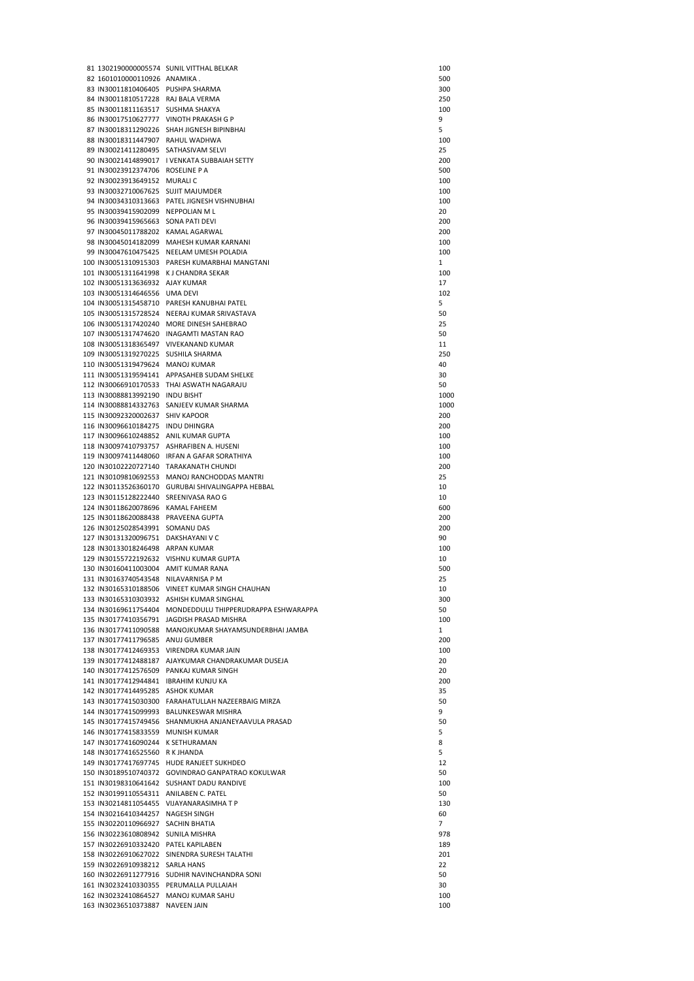|                                        | 81 1302190000005574 SUNIL VITTHAL BELKAR                  | 100  |
|----------------------------------------|-----------------------------------------------------------|------|
| 82 1601010000110926 ANAMIKA.           |                                                           | 500  |
| 83 IN30011810406405 PUSHPA SHARMA      |                                                           | 300  |
|                                        |                                                           |      |
| 84 IN30011810517228 RAJ BALA VERMA     |                                                           | 250  |
| 85 IN30011811163517 SUSHMA SHAKYA      |                                                           | 100  |
|                                        | 86 IN30017510627777 VINOTH PRAKASH G P                    | 9    |
|                                        | 87 IN30018311290226 SHAH JIGNESH BIPINBHAI                | 5    |
|                                        |                                                           |      |
| 88 IN30018311447907 RAHUL WADHWA       |                                                           | 100  |
| 89 IN30021411280495 SATHASIVAM SELVI   |                                                           | 25   |
|                                        | 90 IN30021414899017 I VENKATA SUBBAIAH SETTY              | 200  |
| 91 IN30023912374706 ROSELINE P A       |                                                           | 500  |
| 92 IN30023913649152 MURALIC            |                                                           | 100  |
|                                        |                                                           |      |
| 93 IN30032710067625 SUJIT MAJUMDER     |                                                           | 100  |
|                                        | 94 IN30034310313663 PATEL JIGNESH VISHNUBHAI              | 100  |
| 95 IN30039415902099 NEPPOLIAN ML       |                                                           | 20   |
| 96 IN30039415965663 SONA PATI DEVI     |                                                           | 200  |
| 97 IN30045011788202 KAMAL AGARWAL      |                                                           | 200  |
|                                        |                                                           |      |
|                                        | 98 IN30045014182099 MAHESH KUMAR KARNANI                  | 100  |
|                                        | 99 IN30047610475425 NEELAM UMESH POLADIA                  | 100  |
|                                        | 100 IN30051310915303 PARESH KUMARBHAI MANGTANI            | 1    |
| 101 IN30051311641998 KJ CHANDRA SEKAR  |                                                           | 100  |
| 102 IN30051313636932 AJAY KUMAR        |                                                           | 17   |
| 103 IN30051314646556 UMA DEVI          |                                                           | 102  |
|                                        |                                                           |      |
|                                        | 104 IN30051315458710 PARESH KANUBHAI PATEL                | 5    |
|                                        | 105 IN30051315728524 NEERAJ KUMAR SRIVASTAVA              | 50   |
|                                        | 106 IN30051317420240 MORE DINESH SAHEBRAO                 | 25   |
|                                        | 107 IN30051317474620 INAGAMTI MASTAN RAO                  | 50   |
|                                        | 108 IN30051318365497 VIVEKANAND KUMAR                     | 11   |
| 109 IN30051319270225 SUSHILA SHARMA    |                                                           | 250  |
|                                        |                                                           |      |
| 110 IN30051319479624 MANOJ KUMAR       |                                                           | 40   |
|                                        | 111 IN30051319594141 APPASAHEB SUDAM SHELKE               | 30   |
|                                        | 112 IN30066910170533 THAI ASWATH NAGARAJU                 | 50   |
| 113 IN30088813992190 INDU BISHT        |                                                           | 1000 |
|                                        | 114 IN30088814332763 SANJEEV KUMAR SHARMA                 | 1000 |
|                                        |                                                           |      |
| 115 IN30092320002637 SHIV KAPOOR       |                                                           | 200  |
| 116 IN30096610184275 INDU DHINGRA      |                                                           | 200  |
| 117 IN30096610248852 ANIL KUMAR GUPTA  |                                                           | 100  |
|                                        | 118 IN30097410793757 ASHRAFIBEN A. HUSENI                 | 100  |
|                                        | 119 IN30097411448060 IRFAN A GAFAR SORATHIYA              | 100  |
|                                        |                                                           |      |
|                                        | 120 IN30102220727140 TARAKANATH CHUNDI                    | 200  |
|                                        | 121 IN30109810692553 MANOJ RANCHODDAS MANTRI              | 25   |
|                                        | 122 IN30113526360170 GURUBAI SHIVALINGAPPA HEBBAL         | 10   |
| 123 IN30115128222440 SREENIVASA RAO G  |                                                           | 10   |
| 124 IN30118620078696 KAMAL FAHEEM      |                                                           | 600  |
| 125 IN30118620088438 PRAVEENA GUPTA    |                                                           | 200  |
|                                        |                                                           |      |
| 126 IN30125028543991 SOMANU DAS        |                                                           | 200  |
| 127 IN30131320096751 DAKSHAYANI V C    |                                                           | 90   |
| 128 IN30133018246498 ARPAN KUMAR       |                                                           | 100  |
|                                        | 129 IN30155722192632 VISHNU KUMAR GUPTA                   | 10   |
| 130 IN30160411003004 AMIT KUMAR RANA   |                                                           | 500  |
| 131 IN30163740543548 NILAVARNISA P M   |                                                           | 25   |
|                                        |                                                           |      |
|                                        | 132 IN30165310188506 VINEET KUMAR SINGH CHAUHAN           | 10   |
|                                        | 133 IN30165310303932 ASHISH KUMAR SINGHAL                 | 300  |
|                                        | 134 IN30169611754404 MONDEDDULU THIPPERUDRAPPA ESHWARAPPA | 50   |
|                                        | 135 IN30177410356791 JAGDISH PRASAD MISHRA                | 100  |
|                                        | 136 IN30177411090588 MANOJKUMAR SHAYAMSUNDERBHAI JAMBA    | 1    |
| 137 IN30177411796585 ANUJ GUMBER       |                                                           | 200  |
|                                        | 138 IN30177412469353 VIRENDRA KUMAR JAIN                  | 100  |
|                                        |                                                           |      |
|                                        | 139 IN30177412488187 AJAYKUMAR CHANDRAKUMAR DUSEJA        | 20   |
|                                        | 140 IN30177412576509 PANKAJ KUMAR SINGH                   | 20   |
| 141 IN30177412944841 IBRAHIM KUNJU KA  |                                                           | 200  |
| 142 IN30177414495285 ASHOK KUMAR       |                                                           | 35   |
|                                        | 143 IN30177415030300 FARAHATULLAH NAZEERBAIG MIRZA        | 50   |
|                                        | 144 IN30177415099993 BALUNKESWAR MISHRA                   | 9    |
|                                        |                                                           |      |
|                                        | 145 IN30177415749456 SHANMUKHA ANJANEYAAVULA PRASAD       | 50   |
| 146 IN30177415833559 MUNISH KUMAR      |                                                           | 5    |
| 147 IN30177416090244 K SETHURAMAN      |                                                           | 8    |
| 148 IN30177416525560 R K JHANDA        |                                                           | 5    |
|                                        | 149 IN30177417697745 HUDE RANJEET SUKHDEO                 | 12   |
|                                        | 150 IN30189510740372 GOVINDRAO GANPATRAO KOKULWAR         | 50   |
|                                        |                                                           |      |
|                                        | 151 IN30198310641642 SUSHANT DADU RANDIVE                 | 100  |
| 152 IN30199110554311 ANILABEN C. PATEL |                                                           | 50   |
|                                        | 153 IN30214811054455 VIJAYANARASIMHATP                    | 130  |
| 154 IN30216410344257 NAGESH SINGH      |                                                           | 60   |
| 155 IN30220110966927 SACHIN BHATIA     |                                                           | 7    |
| 156 IN30223610808942 SUNILA MISHRA     |                                                           |      |
|                                        |                                                           | 978  |
| 157 IN30226910332420 PATEL KAPILABEN   |                                                           | 189  |
|                                        | 158 IN30226910627022 SINENDRA SURESH TALATHI              | 201  |
| 159 IN30226910938212 SARLA HANS        |                                                           | 22   |
|                                        | 160 IN30226911277916 SUDHIR NAVINCHANDRA SONI             | 50   |
|                                        | 161 IN30232410330355 PERUMALLA PULLAIAH                   | 30   |
|                                        | 162 IN30232410864527 MANOJ KUMAR SAHU                     | 100  |
| 163 IN30236510373887 NAVEEN JAIN       |                                                           | 100  |
|                                        |                                                           |      |